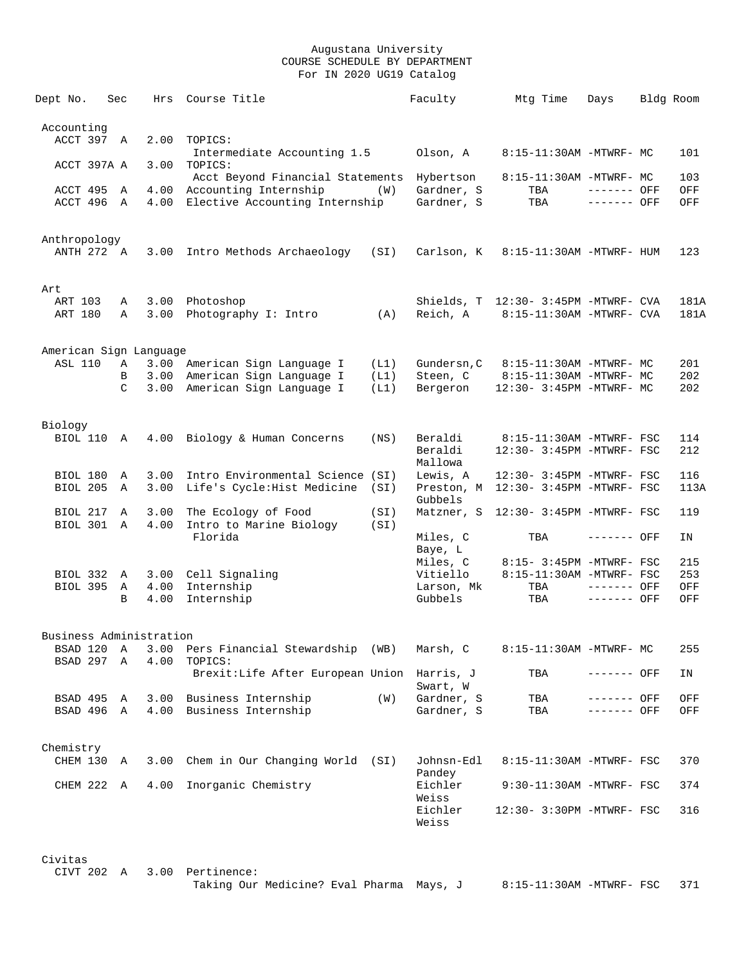| Dept No.                 | Sec                | Hrs          | Course Title                                                 |              | Faculty                       | Mtg Time                                                         | Days                       | Bldg Room    |
|--------------------------|--------------------|--------------|--------------------------------------------------------------|--------------|-------------------------------|------------------------------------------------------------------|----------------------------|--------------|
| Accounting<br>ACCT 397 A |                    | 2.00         | TOPICS:                                                      |              |                               |                                                                  |                            |              |
|                          |                    |              | Intermediate Accounting 1.5                                  |              | Olson, A                      | 8:15-11:30AM -MTWRF- MC                                          |                            | 101          |
| ACCT 397A A              |                    | 3.00         | TOPICS:<br>Acct Beyond Financial Statements                  |              | Hybertson                     | 8:15-11:30AM -MTWRF- MC                                          |                            | 103          |
| ACCT 495<br>ACCT 496 A   | Α                  | 4.00         | Accounting Internship<br>4.00 Elective Accounting Internship | (W)          | Gardner, S<br>Gardner, S      | TBA<br>TBA                                                       | ------- OFF<br>------- OFF | OFF<br>OFF   |
| Anthropology             |                    |              |                                                              |              |                               |                                                                  |                            |              |
| ANTH 272 A               |                    | 3.00         | Intro Methods Archaeology (SI)                               |              | Carlson, K                    | 8:15-11:30AM -MTWRF- HUM                                         |                            | 123          |
| Art                      |                    |              |                                                              |              |                               |                                                                  |                            |              |
| ART 103<br>ART 180       | Α<br>Α             | 3.00         | 3.00 Photoshop<br>Photography I: Intro                       | (A)          | Reich, A                      | Shields, T 12:30- 3:45PM -MTWRF- CVA<br>8:15-11:30AM -MTWRF- CVA |                            | 181A<br>181A |
| American Sign Language   |                    |              |                                                              |              |                               |                                                                  |                            |              |
| <b>ASL 110</b>           | Α                  |              | 3.00 American Sign Language I                                | (L1)         | Gundersn, C                   | 8:15-11:30AM -MTWRF- MC                                          |                            | 201          |
|                          | В<br>$\mathcal{C}$ | 3.00<br>3.00 | American Sign Language I<br>American Sign Language I         | (L1)<br>(L1) | Steen, C<br>Bergeron          | 8:15-11:30AM -MTWRF- MC<br>12:30- 3:45PM -MTWRF- MC              |                            | 202<br>202   |
| Biology                  |                    |              |                                                              |              |                               |                                                                  |                            |              |
| BIOL 110 A               |                    |              | 4.00 Biology & Human Concerns                                | (NS)         | Beraldi<br>Beraldi<br>Mallowa | 8:15-11:30AM -MTWRF- FSC<br>12:30- 3:45PM -MTWRF- FSC            |                            | 114<br>212   |
| BIOL 180                 | Α                  | 3.00         | Intro Environmental Science (SI)                             |              | Lewis, A                      | 12:30- 3:45PM -MTWRF- FSC                                        |                            | 116          |
| BIOL 205                 | A                  | 3.00         | Life's Cycle:Hist Medicine                                   | (SI)         | Gubbels                       | Preston, M 12:30- 3:45PM -MTWRF- FSC                             |                            | 113A         |
| BIOL 217<br>BIOL 301 A   | A                  | 3.00<br>4.00 | The Ecology of Food<br>Intro to Marine Biology               | (SI)<br>(SI) | Matzner, S                    | 12:30- 3:45PM -MTWRF- FSC                                        |                            | 119          |
|                          |                    |              | Florida                                                      |              | Miles, C<br>Baye, L           | TBA                                                              | ------- OFF                | IN           |
|                          |                    |              |                                                              |              | Miles, C                      | 8:15- 3:45PM -MTWRF- FSC                                         |                            | 215          |
| BIOL 332<br>BIOL 395     | A                  | 4.00         | 3.00 Cell Signaling<br>Internship                            |              | Vitiello                      | 8:15-11:30AM -MTWRF- FSC                                         | ------- OFF                | 253          |
|                          | A<br>B             | 4.00         | Internship                                                   |              | Larson, Mk<br>Gubbels         | TBA<br>TBA                                                       | ------- OFF                | OFF<br>OFF   |
| Business Administration  |                    |              |                                                              |              |                               |                                                                  |                            |              |
| BSAD 120                 | Α                  | 3.00         | Pers Financial Stewardship                                   | (WB)         | Marsh, C                      | 8:15-11:30AM -MTWRF- MC                                          |                            | 255          |
| BSAD 297                 | $\Delta$           | 4.00         | TOPICS:<br>Brexit:Life After European Union Harris, J        |              |                               | TBA                                                              | ------- OFF                | ΙN           |
| BSAD 495 A               |                    |              | 3.00 Business Internship                                     | (W)          | Swart, W<br>Gardner, S        | TBA                                                              | ------- OFF                | OFF          |
| BSAD 496 A               |                    | 4.00         | Business Internship                                          |              | Gardner, S                    | TBA                                                              | ------- OFF                | OFF          |
|                          |                    |              |                                                              |              |                               |                                                                  |                            |              |
| Chemistry<br>CHEM 130 A  |                    | 3.00         | Chem in Our Changing World                                   | (SI)         | Johnsn-Edl                    | 8:15-11:30AM -MTWRF- FSC                                         |                            | 370          |
|                          |                    | 4.00         |                                                              |              | Pandey<br>Eichler             | 9:30-11:30AM -MTWRF- FSC                                         |                            |              |
| CHEM 222 A               |                    |              | Inorganic Chemistry                                          |              | Weiss<br>Eichler              | 12:30- 3:30PM -MTWRF- FSC                                        |                            | 374<br>316   |
|                          |                    |              |                                                              |              | Weiss                         |                                                                  |                            |              |
| Civitas                  |                    |              |                                                              |              |                               |                                                                  |                            |              |
| CIVT 202 A               |                    |              | 3.00 Pertinence:<br>Taking Our Medicine? Eval Pharma Mays, J |              |                               | 8:15-11:30AM -MTWRF- FSC                                         |                            | 371          |
|                          |                    |              |                                                              |              |                               |                                                                  |                            |              |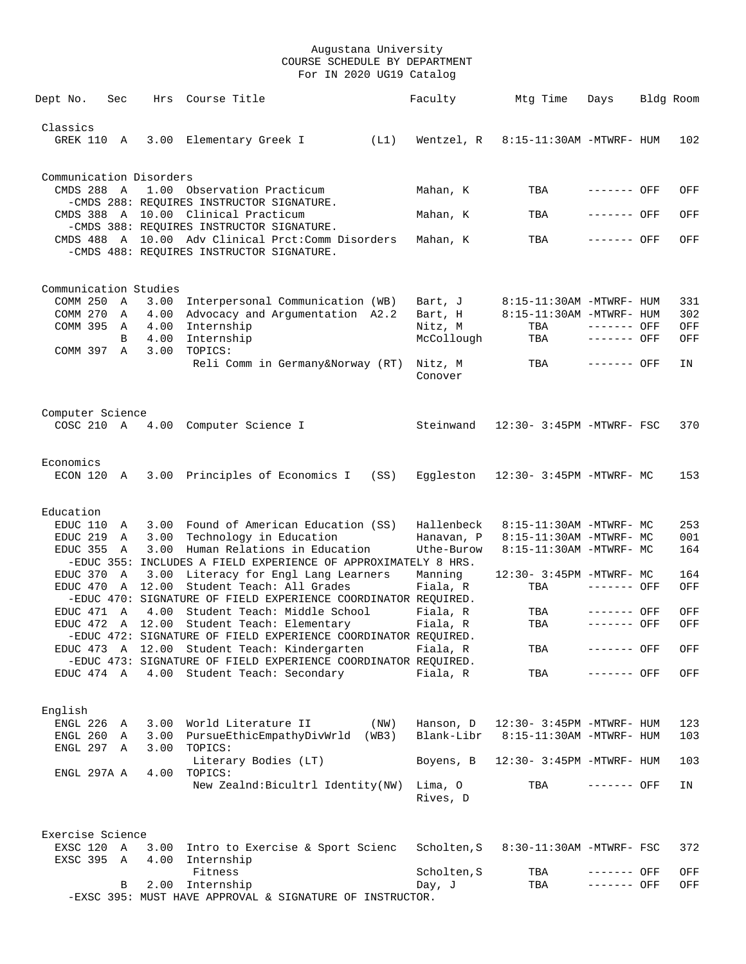| Dept No.                            | Sec          |         | Hrs Course Title                                                                                                                             |      | Faculty               | Mtg Time                  | Days                       | Bldg Room |            |
|-------------------------------------|--------------|---------|----------------------------------------------------------------------------------------------------------------------------------------------|------|-----------------------|---------------------------|----------------------------|-----------|------------|
|                                     |              |         |                                                                                                                                              |      |                       |                           |                            |           |            |
| Classics<br>GREK 110 A              |              |         | 3.00 Elementary Greek I                                                                                                                      | (L1) | Wentzel, R            | 8:15-11:30AM -MTWRF- HUM  |                            |           | 102        |
| Communication Disorders             |              |         |                                                                                                                                              |      |                       |                           |                            |           |            |
| CMDS 288 A                          |              |         | 1.00 Observation Practicum<br>-CMDS 288: REQUIRES INSTRUCTOR SIGNATURE.                                                                      |      | Mahan, K              | TBA                       | $------$ OFF               |           | OFF        |
|                                     |              |         | CMDS 388 A 10.00 Clinical Practicum                                                                                                          |      | Mahan, K              | TBA                       | ------- OFF                |           | OFF        |
|                                     |              |         | -CMDS 388: REOUIRES INSTRUCTOR SIGNATURE.<br>CMDS 488 A 10.00 Adv Clinical Prct: Comm Disorders<br>-CMDS 488: REQUIRES INSTRUCTOR SIGNATURE. |      | Mahan, K              | TBA                       | ------- OFF                |           | OFF        |
|                                     |              |         |                                                                                                                                              |      |                       |                           |                            |           |            |
| Communication Studies<br>COMM 250 A |              | 3.00    | Interpersonal Communication (WB)                                                                                                             |      | Bart, J               | 8:15-11:30AM -MTWRF- HUM  |                            |           | 331        |
| COMM 270                            | $\mathbb{A}$ | 4.00    | Advocacy and Argumentation A2.2                                                                                                              |      | Bart, H               | 8:15-11:30AM -MTWRF- HUM  |                            |           | 302        |
| COMM 395 A                          |              | 4.00    | Internship                                                                                                                                   |      | Nitz, M               | TBA                       | ------- OFF                |           | OFF        |
|                                     | B            | 4.00    | Internship                                                                                                                                   |      | McCollough            | TBA                       | $------$ OFF               |           | OFF        |
| COMM 397 A                          |              | 3.00    | TOPICS:                                                                                                                                      |      |                       |                           |                            |           |            |
|                                     |              |         | Reli Comm in Germany&Norway (RT)                                                                                                             |      | Nitz, M<br>Conover    | TBA                       | ------- OFF                |           | IN         |
| Computer Science                    |              |         |                                                                                                                                              |      |                       |                           |                            |           |            |
|                                     |              |         | COSC 210 A 4.00 Computer Science I                                                                                                           |      | Steinwand             | 12:30- 3:45PM -MTWRF- FSC |                            |           | 370        |
| Economics                           |              |         |                                                                                                                                              |      |                       |                           |                            |           |            |
| ECON 120 A                          |              |         | 3.00 Principles of Economics I                                                                                                               | (SS) | Eggleston             | 12:30- 3:45PM -MTWRF- MC  |                            |           | 153        |
| Education                           |              |         |                                                                                                                                              |      |                       |                           |                            |           |            |
| EDUC 110                            | A            |         | 3.00 Found of American Education (SS)                                                                                                        |      | Hallenbeck            | 8:15-11:30AM -MTWRF- MC   |                            |           | 253        |
| EDUC 219                            | A            |         | 3.00 Technology in Education                                                                                                                 |      | Hanavan, P            | 8:15-11:30AM -MTWRF- MC   |                            |           | 001        |
| EDUC 355                            | A            | 3.00    | Human Relations in Education<br>-EDUC 355: INCLUDES A FIELD EXPERIENCE OF APPROXIMATELY 8 HRS.                                               |      | Uthe-Burow            | 8:15-11:30AM -MTWRF- MC   |                            |           | 164        |
| EDUC 370 A                          |              |         | 3.00 Literacy for Engl Lang Learners                                                                                                         |      | Manning               | 12:30- 3:45PM -MTWRF- MC  |                            |           | 164        |
| EDUC 470                            |              | A 12.00 | Student Teach: All Grades                                                                                                                    |      | Fiala, R              | TBA                       | ------- OFF                |           | OFF        |
|                                     |              |         | -EDUC 470: SIGNATURE OF FIELD EXPERIENCE COORDINATOR REQUIRED.                                                                               |      |                       |                           |                            |           |            |
| EDUC 471 A                          |              | 4.00    | Student Teach: Middle School                                                                                                                 |      | Fiala, R              | TBA                       | ------- OFF                |           | OFF        |
| EDUC 472 A 12.00                    |              |         | Student Teach: Elementary                                                                                                                    |      | Fiala, R              | TBA                       | ------- OFF                |           | OFF        |
|                                     |              |         | -EDUC 472: SIGNATURE OF FIELD EXPERIENCE COORDINATOR REOUIRED.                                                                               |      |                       |                           |                            |           |            |
|                                     |              |         | EDUC 473 A 12.00 Student Teach: Kindergarten<br>-EDUC 473: SIGNATURE OF FIELD EXPERIENCE COORDINATOR REOUIRED.                               |      | Fiala, R              | TBA                       | ------- OFF                |           | OFF        |
|                                     |              |         | EDUC 474 A 4.00 Student Teach: Secondary                                                                                                     |      | Fiala, R              | TBA                       | ------- OFF                |           | OFF        |
|                                     |              |         |                                                                                                                                              |      |                       |                           |                            |           |            |
| English                             |              |         |                                                                                                                                              |      |                       |                           |                            |           |            |
| ENGL 226                            | A            | 3.00    | World Literature II                                                                                                                          | (NW) | Hanson, D             | 12:30- 3:45PM -MTWRF- HUM |                            |           | 123        |
| ENGL 260 A                          |              |         | 3.00 PursueEthicEmpathyDivWrld (WB3)                                                                                                         |      | Blank-Libr            | 8:15-11:30AM -MTWRF- HUM  |                            |           | 103        |
| ENGL 297 A                          |              | 3.00    | TOPICS:                                                                                                                                      |      |                       |                           |                            |           |            |
| ENGL 297A A                         |              |         | Literary Bodies (LT)<br>4.00 TOPICS:                                                                                                         |      | Boyens, B             | 12:30- 3:45PM -MTWRF- HUM |                            |           | 103        |
|                                     |              |         | New Zealnd: Bicultrl Identity (NW)                                                                                                           |      | Lima, O<br>Rives, D   | TBA                       | ------- OFF                |           | IN         |
|                                     |              |         |                                                                                                                                              |      |                       |                           |                            |           |            |
| Exercise Science                    |              |         |                                                                                                                                              |      |                       |                           |                            |           |            |
| EXSC 120 A<br>EXSC 395 A            |              |         | 3.00 Intro to Exercise & Sport Scienc<br>4.00 Internship                                                                                     |      | Scholten, S           | 8:30-11:30AM -MTWRF- FSC  |                            |           | 372        |
|                                     | В            |         | Fitness<br>2.00 Internship                                                                                                                   |      | Scholten, S<br>Day, J | TBA<br>TBA                | ------- OFF<br>------- OFF |           | OFF<br>OFF |
|                                     |              |         | -EXSC 395: MUST HAVE APPROVAL & SIGNATURE OF INSTRUCTOR.                                                                                     |      |                       |                           |                            |           |            |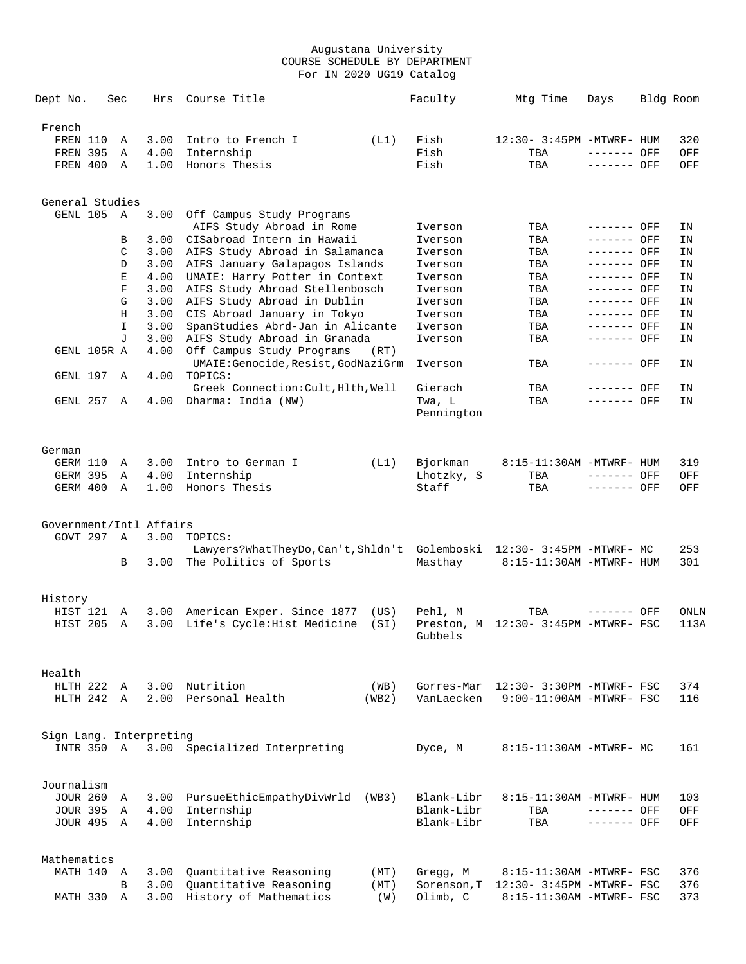| Dept No.                              | Sec |             | Hrs          | Course Title                                             |              | Faculty     | Mtg Time                                    | Days        | Bldg Room    |
|---------------------------------------|-----|-------------|--------------|----------------------------------------------------------|--------------|-------------|---------------------------------------------|-------------|--------------|
| French                                |     |             |              |                                                          |              |             |                                             |             |              |
| FREN 110                              |     | Α           | 3.00         | Intro to French I                                        | (L1)         | Fish        | 12:30- 3:45PM -MTWRF- HUM                   |             | 320          |
| <b>FREN 395</b>                       |     | Α           | 4.00         | Internship                                               |              | Fish        | TBA                                         | ------- OFF | OFF          |
| FREN 400                              |     | Α           | 1.00         | Honors Thesis                                            |              | Fish        | TBA                                         | ------- OFF | OFF          |
|                                       |     |             |              |                                                          |              |             |                                             |             |              |
| General Studies                       |     |             |              |                                                          |              |             |                                             |             |              |
| GENL 105                              |     | Α           | 3.00         | Off Campus Study Programs                                |              |             |                                             |             |              |
|                                       |     |             |              | AIFS Study Abroad in Rome                                |              | Iverson     | TBA                                         | ------- OFF | ΙN           |
|                                       |     | В           | 3.00         | CISabroad Intern in Hawaii                               |              | Iverson     | TBA                                         | ------- OFF | ΙN           |
|                                       |     | C           | 3.00         | AIFS Study Abroad in Salamanca                           |              | Iverson     | TBA                                         | ------- OFF | ΙN           |
|                                       |     | D           | 3.00         | AIFS January Galapagos Islands                           |              | Iverson     | TBA                                         | ------- OFF | ΙN           |
|                                       |     | Е           | 4.00         | UMAIE: Harry Potter in Context                           |              | Iverson     | TBA                                         | ------- OFF | ΙN           |
|                                       |     | $\mathbf F$ | 3.00         | AIFS Study Abroad Stellenbosch                           |              | Iverson     | TBA                                         | ------- OFF | ΙN           |
|                                       |     | G           | 3.00         | AIFS Study Abroad in Dublin                              |              | Iverson     | TBA                                         | ------- OFF | ΙN           |
|                                       |     | Н           | 3.00         | CIS Abroad January in Tokyo                              |              | Iverson     | TBA                                         | ------- OFF | ΙN           |
|                                       |     | I           | 3.00         | SpanStudies Abrd-Jan in Alicante                         |              | Iverson     | TBA                                         | ------- OFF | ΙN           |
|                                       |     | J           | 3.00         | AIFS Study Abroad in Granada                             |              | Iverson     | TBA                                         | ------- OFF | ΙN           |
| GENL 105R A                           |     |             | 4.00         | Off Campus Study Programs                                | (RT)         |             |                                             |             |              |
| GENL 197                              |     | Α           | 4.00         | UMAIE: Genocide, Resist, GodNaziGrm<br>TOPICS:           |              | Iverson     | TBA                                         | ------- OFF | ΙN           |
|                                       |     |             |              | Greek Connection: Cult, Hlth, Well                       |              | Gierach     | TBA                                         | ------- OFF | ΙN           |
| GENL 257                              |     | Α           | 4.00         | Dharma: India (NW)                                       |              | Twa, L      | TBA                                         | ------- OFF | ΙN           |
|                                       |     |             |              |                                                          |              | Pennington  |                                             |             |              |
|                                       |     |             |              |                                                          |              |             |                                             |             |              |
|                                       |     |             |              |                                                          |              |             |                                             |             |              |
| German<br>GERM 110                    |     | Α           | 3.00         | Intro to German I                                        |              | Bjorkman    | 8:15-11:30AM -MTWRF- HUM                    |             | 319          |
| <b>GERM 395</b>                       |     | Α           | 4.00         | Internship                                               | (L1)         | Lhotzky, S  | TBA                                         | ------- OFF | OFF          |
| GERM 400                              |     | Α           | 1.00         | Honors Thesis                                            |              | Staff       | TBA                                         | ------- OFF | OFF          |
|                                       |     |             |              |                                                          |              |             |                                             |             |              |
|                                       |     |             |              |                                                          |              |             |                                             |             |              |
| Government/Intl Affairs<br>GOVT 297   |     | A           | 3.00         | TOPICS:                                                  |              |             |                                             |             |              |
|                                       |     |             |              | Lawyers?WhatTheyDo, Can't, Shldn't                       |              | Golemboski  | 12:30- 3:45PM -MTWRF- MC                    |             | 253          |
|                                       |     | В           | 3.00         | The Politics of Sports                                   |              | Masthay     | 8:15-11:30AM -MTWRF- HUM                    |             | 301          |
|                                       |     |             |              |                                                          |              |             |                                             |             |              |
|                                       |     |             |              |                                                          |              |             |                                             |             |              |
| History<br>HIST 121                   |     |             |              |                                                          |              |             |                                             |             |              |
| HIST 205                              |     | Α<br>Α      | 3.00<br>3.00 | American Exper. Since 1877<br>Life's Cycle:Hist Medicine | (US)<br>(SI) | Pehl, M     | TBA<br>Preston, M 12:30- 3:45PM -MTWRF- FSC | ------- OFF | ONLN<br>113A |
|                                       |     |             |              |                                                          |              | Gubbels     |                                             |             |              |
|                                       |     |             |              |                                                          |              |             |                                             |             |              |
| Health                                |     |             |              |                                                          |              |             |                                             |             |              |
| HLTH 222                              |     | A           | 3.00         | Nutrition                                                | (WB)         | Gorres-Mar  | 12:30- 3:30PM -MTWRF- FSC                   |             | 374          |
| HLTH 242 A                            |     |             | 2.00         | Personal Health                                          | (WB2)        | VanLaecken  | $9:00-11:00AM - MTWRF - FSC$                |             | 116          |
|                                       |     |             |              |                                                          |              |             |                                             |             |              |
|                                       |     |             |              |                                                          |              |             |                                             |             |              |
| Sign Lang. Interpreting<br>INTR 350 A |     |             |              | 3.00 Specialized Interpreting                            |              | Dyce, M     | 8:15-11:30AM -MTWRF- MC                     |             | 161          |
|                                       |     |             |              |                                                          |              |             |                                             |             |              |
|                                       |     |             |              |                                                          |              |             |                                             |             |              |
| Journalism<br><b>JOUR 260</b>         |     |             |              |                                                          |              | Blank-Libr  |                                             |             |              |
| <b>JOUR 395</b>                       |     | Α<br>Α      | 3.00<br>4.00 | PursueEthicEmpathyDivWrld<br>Internship                  | (WB3)        | Blank-Libr  | 8:15-11:30AM -MTWRF- HUM<br>TBA             | ------- OFF | 103<br>OFF   |
| JOUR 495 A                            |     |             | 4.00         | Internship                                               |              | Blank-Libr  | TBA                                         | ------- OFF | OFF          |
|                                       |     |             |              |                                                          |              |             |                                             |             |              |
|                                       |     |             |              |                                                          |              |             |                                             |             |              |
| Mathematics<br>MATH 140               |     | A           | 3.00         | Quantitative Reasoning                                   | (MT)         | Gregg, M    | 8:15-11:30AM -MTWRF- FSC                    |             | 376          |
|                                       |     | B           | 3.00         | Quantitative Reasoning                                   | (MT)         | Sorenson, T | 12:30- 3:45PM -MTWRF- FSC                   |             | 376          |
| MATH 330                              |     | Α           | 3.00         | History of Mathematics                                   | (W)          | Olimb, C    | 8:15-11:30AM -MTWRF- FSC                    |             | 373          |
|                                       |     |             |              |                                                          |              |             |                                             |             |              |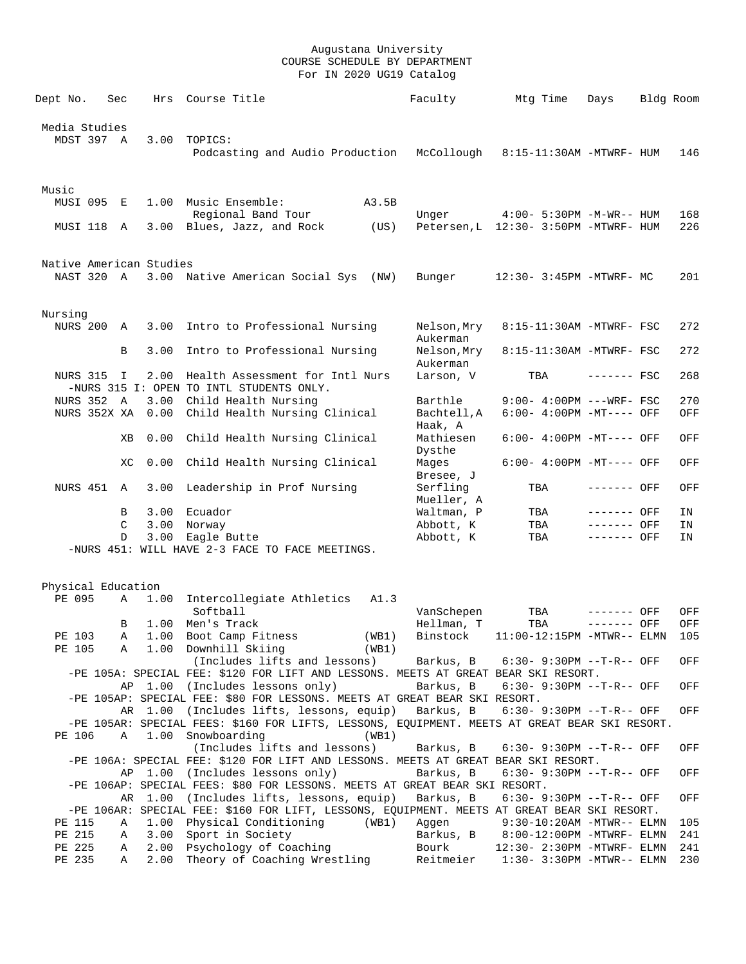| Dept No.                     | Sec | Hrs     | Course Title                                                                                                                            |       | Faculty                 | Mtg Time                                    | Days         | Bldg Room |     |
|------------------------------|-----|---------|-----------------------------------------------------------------------------------------------------------------------------------------|-------|-------------------------|---------------------------------------------|--------------|-----------|-----|
| Media Studies                |     |         |                                                                                                                                         |       |                         |                                             |              |           |     |
| MDST 397 A                   |     | 3.00    | TOPICS:                                                                                                                                 |       |                         |                                             |              |           |     |
|                              |     |         | Podcasting and Audio Production                                                                                                         |       | McCollough              | 8:15-11:30AM -MTWRF- HUM                    |              |           | 146 |
| Music                        |     |         |                                                                                                                                         |       |                         |                                             |              |           |     |
| MUSI 095 E                   |     |         | 1.00 Music Ensemble:<br>Regional Band Tour                                                                                              | A3.5B | Unger                   | 4:00- 5:30PM -M-WR-- HUM                    |              |           | 168 |
| MUSI 118                     | Α   | 3.00    | Blues, Jazz, and Rock                                                                                                                   | (US)  |                         | Petersen, L 12:30- 3:50PM -MTWRF- HUM       |              |           | 226 |
| Native American Studies      |     |         |                                                                                                                                         |       |                         |                                             |              |           |     |
| NAST 320 A                   |     |         | 3.00 Native American Social Sys                                                                                                         | (NW)  | Bunger                  | 12:30- 3:45PM -MTWRF- MC                    |              |           | 201 |
| Nursing                      |     |         |                                                                                                                                         |       |                         |                                             |              |           |     |
| NURS 200                     | A   | 3.00    | Intro to Professional Nursing                                                                                                           |       | Nelson, Mry<br>Aukerman | 8:15-11:30AM -MTWRF- FSC                    |              |           | 272 |
|                              | B   | 3.00    | Intro to Professional Nursing                                                                                                           |       | Nelson,Mry<br>Aukerman  | 8:15-11:30AM -MTWRF- FSC                    |              |           | 272 |
| NURS 315 I                   |     | 2.00    | Health Assessment for Intl Nurs<br>-NURS 315 I: OPEN TO INTL STUDENTS ONLY.                                                             |       | Larson, V               | TBA                                         | $------$ FSC |           | 268 |
| <b>NURS 352 A</b>            |     | 3.00    | Child Health Nursing                                                                                                                    |       | Barthle                 | $9:00 - 4:00PM$ ---WRF- FSC                 |              |           | 270 |
| NURS 352X XA                 |     | 0.00    | Child Health Nursing Clinical                                                                                                           |       | Bachtell, A<br>Haak, A  | 6:00- 4:00PM -MT---- OFF                    |              |           | OFF |
|                              | ΧB  | 0.00    | Child Health Nursing Clinical                                                                                                           |       | Mathiesen<br>Dysthe     | $6:00-4:00PM -MT---$ OFF                    |              |           | OFF |
|                              | XC  | 0.00    | Child Health Nursing Clinical                                                                                                           |       | Mages<br>Bresee, J      | $6:00-4:00PM -MT---$ OFF                    |              |           | OFF |
| NURS 451                     | A   | 3.00    | Leadership in Prof Nursing                                                                                                              |       | Serfling<br>Mueller, A  | TBA                                         | ------- OFF  |           | OFF |
|                              | B   | 3.00    | Ecuador                                                                                                                                 |       | Waltman, P              | TBA                                         | ------- OFF  |           | ΙN  |
|                              | C   | 3.00    | Norway                                                                                                                                  |       | Abbott, K               | TBA                                         | ------- OFF  |           | IN  |
|                              | D   | 3.00    | Eagle Butte<br>-NURS 451: WILL HAVE 2-3 FACE TO FACE MEETINGS.                                                                          |       | Abbott, K               | TBA                                         | ------- OFF  |           | ΙN  |
|                              |     |         |                                                                                                                                         |       |                         |                                             |              |           |     |
| Physical Education<br>PE 095 | Α   | 1.00    | Intercollegiate Athletics                                                                                                               | A1.3  |                         |                                             |              |           |     |
|                              |     |         | Softball                                                                                                                                |       | VanSchepen              | TBA                                         | ------- OFF  |           | OFF |
|                              | В   |         | 1.00 Men's Track                                                                                                                        |       | Hellman, T              | TBA                                         | ------- OFF  |           | OFF |
| PE 103                       |     |         | A 1.00 Boot Camp Fitness                                                                                                                | (WB1) |                         | Binstock   11:00-12:15PM -MTWR-- ELMN   105 |              |           |     |
| PE 105                       | Α   |         | 1.00 Downhill Skiing<br>(Includes lifts and lessons)                                                                                    | (WB1) |                         | Barkus, B     6:30- 9:30PM --T-R-- OFF      |              |           | OFF |
|                              |     |         | -PE 105A: SPECIAL FEE: \$120 FOR LIFT AND LESSONS. MEETS AT GREAT BEAR SKI RESORT.                                                      |       |                         |                                             |              |           |     |
|                              |     |         | AP 1.00 (Includes lessons only)                                                                                                         |       | Barkus, B               | $6:30 - 9:30PM -T-R--OFF$                   |              |           | OFF |
|                              |     |         | -PE 105AP: SPECIAL FEE: \$80 FOR LESSONS. MEETS AT GREAT BEAR SKI RESORT.                                                               |       |                         |                                             |              |           |     |
|                              |     |         | AR 1.00 (Includes lifts, lessons, equip) Barkus, B                                                                                      |       |                         | $6:30 - 9:30PM -T-R--$ OFF                  |              |           | OFF |
| PE 106                       | Α   | 1.00    | -PE 105AR: SPECIAL FEES: \$160 FOR LIFTS, LESSONS, EQUIPMENT. MEETS AT GREAT BEAR SKI RESORT.<br>Snowboarding                           | (WB1) |                         |                                             |              |           |     |
|                              |     |         | (Includes lifts and lessons)                                                                                                            |       | Barkus, B               | 6:30- 9:30PM --T-R-- OFF                    |              |           | OFF |
|                              |     | AP 1.00 | -PE 106A: SPECIAL FEE: \$120 FOR LIFT AND LESSONS. MEETS AT GREAT BEAR SKI RESORT.<br>(Includes lessons only)                           |       | Barkus, B               | $6:30 - 9:30PM -T-R--$ OFF                  |              |           | OFF |
|                              |     |         | -PE 106AP: SPECIAL FEES: \$80 FOR LESSONS. MEETS AT GREAT BEAR SKI RESORT.                                                              |       |                         |                                             |              |           |     |
|                              |     |         | AR 1.00 (Includes lifts, lessons, equip)<br>-PE 106AR: SPECIAL FEE: \$160 FOR LIFT, LESSONS, EQUIPMENT. MEETS AT GREAT BEAR SKI RESORT. |       | Barkus, B               | 6:30- 9:30PM --T-R-- OFF                    |              |           | OFF |
| PE 115                       | Α   | 1.00    | Physical Conditioning                                                                                                                   | (WB1) | Aggen                   | $9:30-10:20AM - MTWR-- ELMN$                |              |           | 105 |
| PE 215                       | Α   | 3.00    | Sport in Society                                                                                                                        |       |                         | Barkus, B 8:00-12:00PM -MTWRF- ELMN         |              |           | 241 |
| PE 225                       | Α   | 2.00    | Psychology of Coaching                                                                                                                  |       | Bourk                   | $12:30 - 2:30PM - MTWRF - ELMN$             |              |           | 241 |
| PE 235                       | Α   | 2.00    | Theory of Coaching Wrestling                                                                                                            |       | Reitmeier               | $1:30-3:30PM -MTWR--ELMN$                   |              |           | 230 |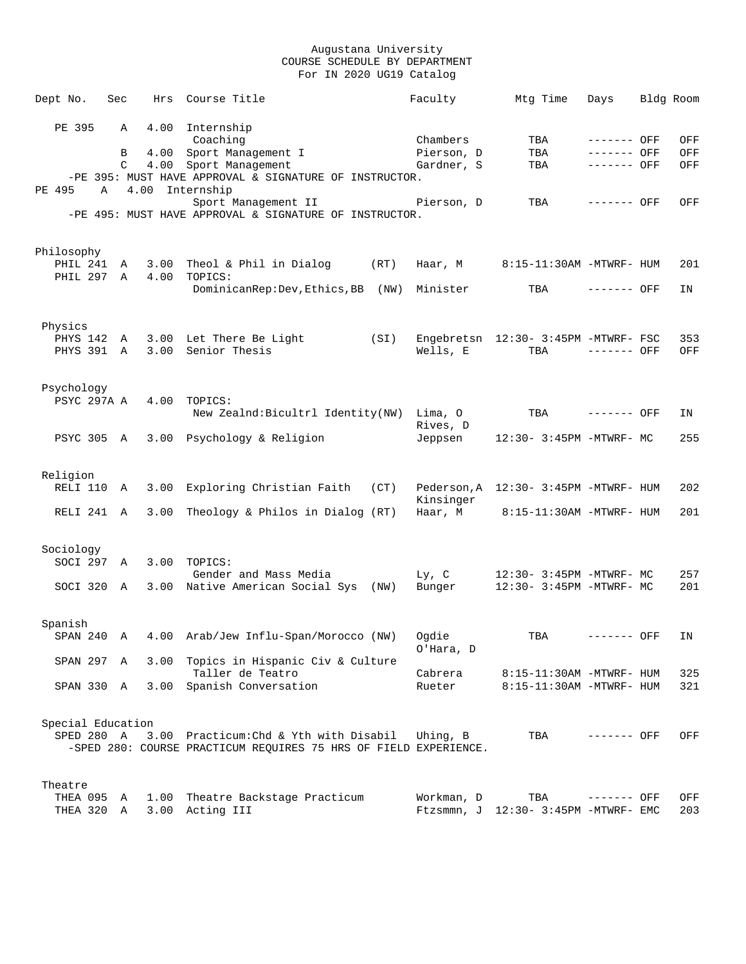| Dept No.   |            |                   | Sec | Hrs  | Course Title                                                     | Faculty    | Mtg Time                              | Days         | Bldg Room |
|------------|------------|-------------------|-----|------|------------------------------------------------------------------|------------|---------------------------------------|--------------|-----------|
|            |            |                   |     |      |                                                                  |            |                                       |              |           |
|            | PE 395     |                   | Α   |      | 4.00 Internship                                                  |            |                                       |              |           |
|            |            |                   |     |      | Coaching                                                         | Chambers   | TBA                                   | ------- OFF  | OFF       |
|            |            |                   | B   |      | 4.00 Sport Management I                                          | Pierson, D | TBA                                   | ------- OFF  | OFF       |
|            |            |                   | C   |      | 4.00 Sport Management                                            | Gardner, S | TBA                                   | $-----$ OFF  | OFF       |
|            |            |                   |     |      | -PE 395: MUST HAVE APPROVAL & SIGNATURE OF INSTRUCTOR.           |            |                                       |              |           |
| PE 495     |            | Α                 |     | 4.00 | Internship                                                       |            |                                       |              |           |
|            |            |                   |     |      | Sport Management II                                              | Pierson, D | TBA                                   | $------$ OFF | OFF       |
|            |            |                   |     |      | -PE 495: MUST HAVE APPROVAL & SIGNATURE OF INSTRUCTOR.           |            |                                       |              |           |
|            |            |                   |     |      |                                                                  |            |                                       |              |           |
|            |            |                   |     |      |                                                                  |            |                                       |              |           |
| Philosophy |            |                   |     |      |                                                                  |            |                                       |              |           |
|            | PHIL 241   |                   | Α   |      | 3.00 Theol & Phil in Dialog<br>(RT)                              | Haar, M    | 8:15-11:30AM -MTWRF- HUM              |              | 201       |
|            |            | PHIL 297 A        |     |      | 4.00 TOPICS:                                                     |            |                                       |              |           |
|            |            |                   |     |      | DominicanRep: Dev, Ethics, BB (NW)                               | Minister   | TBA                                   | ------- OFF  | ΙN        |
|            |            |                   |     |      |                                                                  |            |                                       |              |           |
|            |            |                   |     |      |                                                                  |            |                                       |              |           |
|            | Physics    |                   |     |      |                                                                  |            |                                       |              |           |
|            |            | PHYS 142 A        |     |      | 3.00 Let There Be Light<br>(SI)                                  |            | Engebretsn 12:30- 3:45PM -MTWRF- FSC  |              | 353       |
|            |            | PHYS 391 A        |     | 3.00 | Senior Thesis                                                    | Wells, E   | TBA                                   | $------$ OFF | OFF       |
|            |            |                   |     |      |                                                                  |            |                                       |              |           |
|            |            |                   |     |      |                                                                  |            |                                       |              |           |
|            | Psychology |                   |     |      |                                                                  |            |                                       |              |           |
|            |            | PSYC 297A A       |     | 4.00 | TOPICS:                                                          |            |                                       |              |           |
|            |            |                   |     |      | New Zealnd: Bicultrl Identity(NW) Lima, O                        |            | TBA                                   | ------- OFF  | ΙN        |
|            |            |                   |     |      |                                                                  | Rives, D   |                                       |              |           |
|            |            | PSYC 305 A        |     |      | 3.00 Psychology & Religion                                       | Jeppsen    | 12:30- 3:45PM -MTWRF- MC              |              | 255       |
|            |            |                   |     |      |                                                                  |            |                                       |              |           |
|            |            |                   |     |      |                                                                  |            |                                       |              |           |
|            | Religion   |                   |     |      |                                                                  |            |                                       |              |           |
|            |            |                   |     | 3.00 |                                                                  |            |                                       |              | 202       |
|            |            | RELI 110 A        |     |      | Exploring Christian Faith (CT)                                   |            | Pederson, A 12:30- 3:45PM -MTWRF- HUM |              |           |
|            |            |                   |     |      |                                                                  | Kinsinger  |                                       |              |           |
|            |            | RELI 241 A        |     | 3.00 | Theology & Philos in Dialog (RT)                                 | Haar, M    | 8:15-11:30AM -MTWRF- HUM              |              | 201       |
|            |            |                   |     |      |                                                                  |            |                                       |              |           |
|            |            |                   |     |      |                                                                  |            |                                       |              |           |
|            | Sociology  |                   |     |      |                                                                  |            |                                       |              |           |
|            |            | SOCI 297 A        |     | 3.00 | TOPICS:                                                          |            |                                       |              |           |
|            |            |                   |     |      | Gender and Mass Media                                            | $Ly$ , $C$ | 12:30- 3:45PM -MTWRF- MC              |              | 257       |
|            |            | SOCI 320 A        |     |      | 3.00 Native American Social Sys (NW)                             | Bunger     | 12:30- 3:45PM -MTWRF- MC              |              | 201       |
|            |            |                   |     |      |                                                                  |            |                                       |              |           |
|            |            |                   |     |      |                                                                  |            |                                       |              |           |
|            | Spanish    |                   |     |      |                                                                  |            |                                       |              |           |
|            |            | SPAN 240          | A   |      | 4.00 Arab/Jew Influ-Span/Morocco (NW)                            | Oqdie      | TBA                                   | ------- OFF  | ΙN        |
|            |            |                   |     |      |                                                                  | O'Hara, D  |                                       |              |           |
|            |            | SPAN 297 A        |     |      | 3.00 Topics in Hispanic Civ & Culture                            |            |                                       |              |           |
|            |            |                   |     |      | Taller de Teatro                                                 | Cabrera    | 8:15-11:30AM -MTWRF- HUM              |              | 325       |
|            |            | SPAN 330 A        |     | 3.00 | Spanish Conversation                                             | Rueter     | 8:15-11:30AM -MTWRF- HUM              |              | 321       |
|            |            |                   |     |      |                                                                  |            |                                       |              |           |
|            |            |                   |     |      |                                                                  |            |                                       |              |           |
|            |            | Special Education |     |      |                                                                  |            |                                       |              |           |
|            |            | SPED 280 A        |     |      | 3.00 Practicum: Chd & Yth with Disabil                           | Uhing, B   | TBA                                   | ------- OFF  | OFF       |
|            |            |                   |     |      | -SPED 280: COURSE PRACTICUM REQUIRES 75 HRS OF FIELD EXPERIENCE. |            |                                       |              |           |
|            |            |                   |     |      |                                                                  |            |                                       |              |           |
|            |            |                   |     |      |                                                                  |            |                                       |              |           |
|            | Theatre    |                   |     |      |                                                                  |            |                                       |              |           |
|            | THEA 095   |                   | Α   | 1.00 | Theatre Backstage Practicum                                      | Workman, D | TBA                                   | ------- OFF  | OFF       |
|            |            | THEA 320 A        |     | 3.00 | Acting III                                                       |            | Ftzsmmn, J 12:30- 3:45PM -MTWRF- EMC  |              | 203       |
|            |            |                   |     |      |                                                                  |            |                                       |              |           |